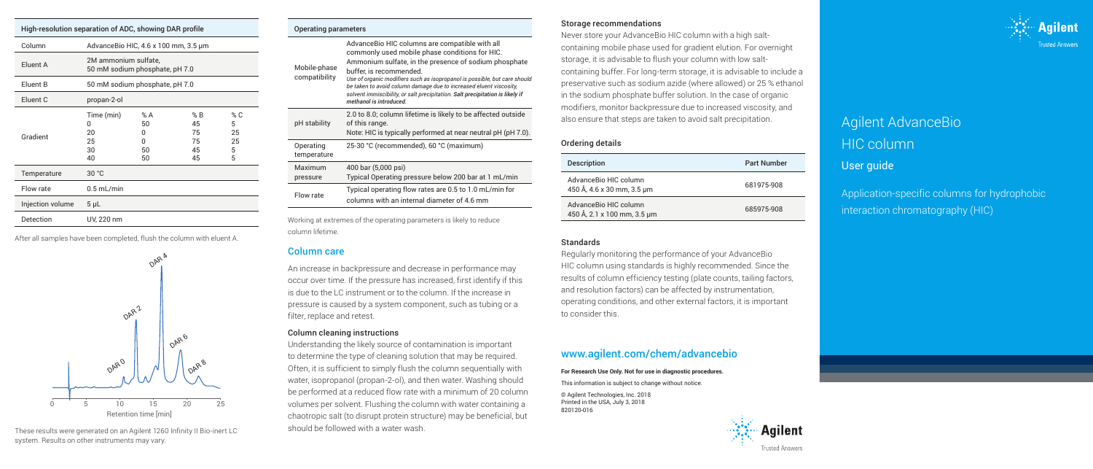| High-resolution separation of ADC, showing DAR profile |                                                        |                                |                                   |                                |  |  |
|--------------------------------------------------------|--------------------------------------------------------|--------------------------------|-----------------------------------|--------------------------------|--|--|
| Column                                                 | AdvanceBio HIC, 4.6 x 100 mm, 3.5 um                   |                                |                                   |                                |  |  |
| Eluent A                                               | 2M ammonium sulfate,<br>50 mM sodium phosphate, pH 7.0 |                                |                                   |                                |  |  |
| Eluent B                                               | 50 mM sodium phosphate, pH 7.0                         |                                |                                   |                                |  |  |
| Eluent C                                               | propan-2-ol                                            |                                |                                   |                                |  |  |
| Gradient                                               | Time (min)<br>0<br>20<br>25<br>30<br>40                | %A<br>50<br>U<br>U<br>50<br>50 | % B<br>45<br>75<br>75<br>45<br>45 | % C<br>5<br>25<br>25<br>5<br>5 |  |  |
| Temperature                                            | 30 °C                                                  |                                |                                   |                                |  |  |
| Flow rate                                              | $0.5$ mL/min                                           |                                |                                   |                                |  |  |
| Injection volume                                       | $5 \mu L$                                              |                                |                                   |                                |  |  |
| <b>Detection</b>                                       | UV, 220 nm                                             |                                |                                   |                                |  |  |

After all samples have been completed, flush the column with eluent A. Standards Standards Standards



These results were generated on an Agilent 1260 Infinity II Bio-inert LC system. Results on other instruments may vary.

### Operating parameters

| Mobile-phase<br>compatibility | AdvanceBio HIC columns are compatible with all<br>commonly used mobile phase conditions for HIC.<br>Ammonium sulfate, in the presence of sodium phosphate<br>buffer, is recommended.<br>Use of organic modifiers such as isopropanol is possible, but care should<br>be taken to avoid column damage due to increased eluent viscosity,<br>solvent immiscibility, or salt precipitation. Salt precipitation is likely if<br>methanol is introduced. |
|-------------------------------|-----------------------------------------------------------------------------------------------------------------------------------------------------------------------------------------------------------------------------------------------------------------------------------------------------------------------------------------------------------------------------------------------------------------------------------------------------|
| pH stability                  | 2.0 to 8.0; column lifetime is likely to be affected outside<br>of this range.<br>Note: HIC is typically performed at near neutral pH (pH 7.0).                                                                                                                                                                                                                                                                                                     |
| Operating<br>temperature      | 25-30 °C (recommended), 60 °C (maximum)                                                                                                                                                                                                                                                                                                                                                                                                             |
| Maximum<br>pressure           | 400 bar (5,000 psi)<br>Typical Operating pressure below 200 bar at 1 mL/min                                                                                                                                                                                                                                                                                                                                                                         |
| Flow rate                     | Typical operating flow rates are 0.5 to 1.0 mL/min for<br>columns with an internal diameter of 4.6 mm                                                                                                                                                                                                                                                                                                                                               |
|                               |                                                                                                                                                                                                                                                                                                                                                                                                                                                     |

Working at extremes of the operating parameters is likely to reduce column lifetime.

# Column care

 $\overline{\mathsf{M}}$ 

An increase in backpressure and decrease in performance may occur over time. If the pressure has increased, first identify if this is due to the LC instrument or to the column. If the increase in pressure is caused by a system component, such as tubing or a filter, replace and retest.

# Column cleaning instructions

Understanding the likely source of contamination is important to determine the type of cleaning solution that may be required. Often, it is sufficient to simply flush the column sequentially with water, isopropanol (propan-2-ol), and then water. Washing should be performed at a reduced flow rate with a minimum of 20 column volumes per solvent. Flushing the column with water containing a chaotropic salt (to disrupt protein structure) may be beneficial, but should be followed with a water wash.

# Storage recommendations

Never store your AdvanceBio HIC column with a high saltcontaining mobile phase used for gradient elution. For overnight storage, it is advisable to flush your column with low saltcontaining buffer. For long-term storage, it is advisable to include a preservative such as sodium azide (where allowed) or 25 % ethanol in the sodium phosphate buffer solution. In the case of organic modifiers, monitor backpressure due to increased viscosity, and also ensure that steps are taken to avoid salt precipitation.

# Ordering details

| <b>Description</b>                                   | <b>Part Number</b> |
|------------------------------------------------------|--------------------|
| AdvanceBio HIC column<br>450 Å, 4.6 x 30 mm, 3.5 µm  | 681975-908         |
| AdvanceBio HIC column<br>450 Å, 2.1 x 100 mm, 3.5 µm | 685975-908         |

Regularly monitoring the performance of your AdvanceBio HIC column using standards is highly recommended. Since the results of column efficiency testing (plate counts, tailing factors, and resolution factors) can be affected by instrumentation, operating conditions, and other external factors, it is important to consider this.

# www.agilent.com/chem/advancebio

### **For Research Use Only. Not for use in diagnostic procedures.**

This information is subject to change without notice.

© Agilent Technologies, Inc. 2018 Printed in the USA, July 3, 2018 820120-016





# Agilent AdvanceBio HIC column

User guide

Application-specific columns for hydrophobic interaction chromatography (HIC)